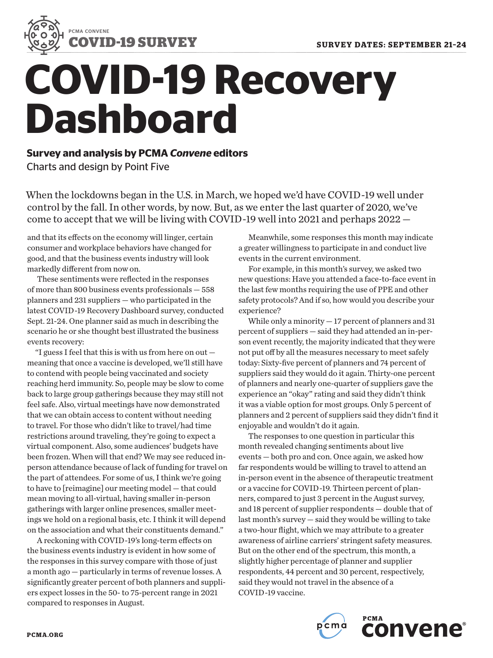

# **COVID-19 Recovery Dashboard**

**Survey and analysis by PCMA** *Convene* **editors** Charts and design by Point Five

When the lockdowns began in the U.S. in March, we hoped we'd have COVID-19 well under control by the fall. In other words, by now. But, as we enter the last quarter of 2020, we've come to accept that we will be living with COVID-19 well into 2021 and perhaps 2022 —

and that its effects on the economy will linger, certain consumer and workplace behaviors have changed for good, and that the business events industry will look markedly different from now on.

These sentiments were reflected in the responses of more than 800 business events professionals — 558 planners and 231 suppliers — who participated in the latest COVID-19 Recovery Dashboard survey, conducted Sept. 21-24. One planner said as much in describing the scenario he or she thought best illustrated the business events recovery:

"I guess I feel that this is with us from here on out meaning that once a vaccine is developed, we'll still have to contend with people being vaccinated and society reaching herd immunity. So, people may be slow to come back to large group gatherings because they may still not feel safe. Also, virtual meetings have now demonstrated that we can obtain access to content without needing to travel. For those who didn't like to travel/had time restrictions around traveling, they're going to expect a virtual component. Also, some audiences' budgets have been frozen. When will that end? We may see reduced inperson attendance because of lack of funding for travel on the part of attendees. For some of us, I think we're going to have to [reimagine] our meeting model — that could mean moving to all-virtual, having smaller in-person gatherings with larger online presences, smaller meetings we hold on a regional basis, etc. I think it will depend on the association and what their constituents demand."

A reckoning with COVID-19's long-term effects on the business events industry is evident in how some of the responses in this survey compare with those of just a month ago — particularly in terms of revenue losses. A significantly greater percent of both planners and suppliers expect losses in the 50- to 75-percent range in 2021 compared to responses in August.

Meanwhile, some responses this month may indicate a greater willingness to participate in and conduct live events in the current environment.

For example, in this month's survey, we asked two new questions: Have you attended a face-to-face event in the last few months requiring the use of PPE and other safety protocols? And if so, how would you describe your experience?

While only a minority — 17 percent of planners and 31 percent of suppliers — said they had attended an in-person event recently, the majority indicated that they were not put off by all the measures necessary to meet safely today: Sixty-five percent of planners and 74 percent of suppliers said they would do it again. Thirty-one percent of planners and nearly one-quarter of suppliers gave the experience an "okay" rating and said they didn't think it was a viable option for most groups. Only 5 percent of planners and 2 percent of suppliers said they didn't find it enjoyable and wouldn't do it again.

The responses to one question in particular this month revealed changing sentiments about live events — both pro and con. Once again, we asked how far respondents would be willing to travel to attend an in-person event in the absence of therapeutic treatment or a vaccine for COVID-19. Thirteen percent of planners, compared to just 3 percent in the August survey, and 18 percent of supplier respondents — double that of last month's survey — said they would be willing to take a two-hour flight, which we may attribute to a greater awareness of airline carriers' stringent safety measures. But on the other end of the spectrum, this month, a slightly higher percentage of planner and supplier respondents, 44 percent and 30 percent, respectively, said they would not travel in the absence of a COVID-19 vaccine.

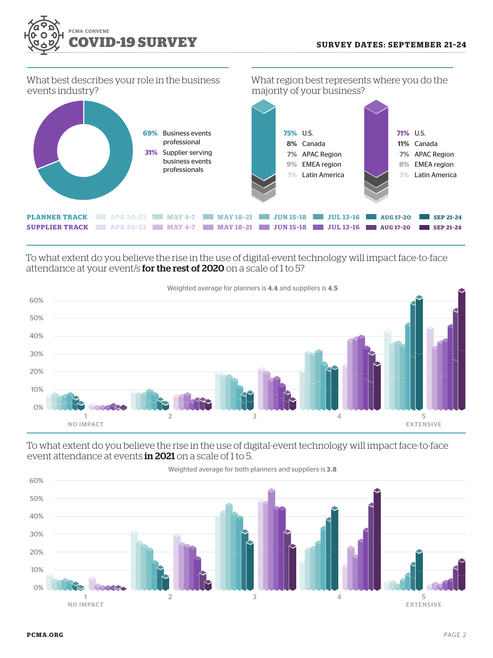

What best describes your role in the business events industry?



To what extent do you believe the rise in the use of digital-event technology will impact face-to-face attendance at your event/s for the rest of 2020 on a scale of 1 to 5?



To what extent do you believe the rise in the use of digital-event technology will impact face-to-face event attendance at events in 2021 on a scale of 1 to 5.

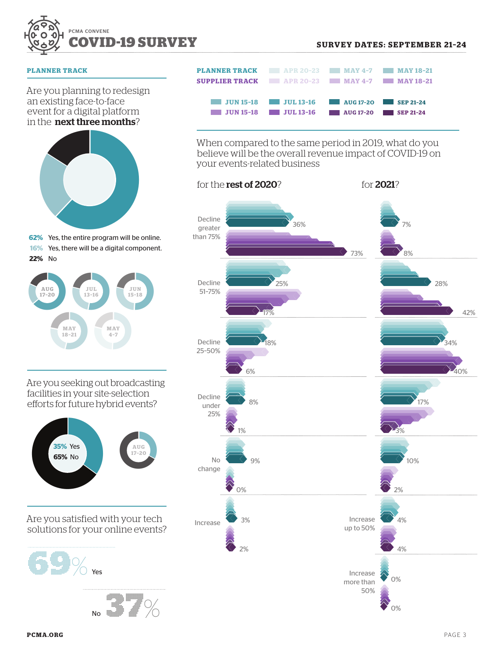

## **PLANNER TRACK**

Are you planning to redesign an existing face-to-face event for a digital platform in the next three months?



**62%** Yes, the entire program will be online. **16%** Yes, there will be a digital component.



Are you seeking out broadcasting facilities in your site-selection efforts for future hybrid events?



Are you satisfied with your tech solutions for your online events?



No  **37**%

| <b>PLANNER TRACK 4PR 20-23 MAY 4-7 MAY 18-21</b><br><b>SUPPLIER TRACK APR 20-23 MAY 4-7 MAY 18-21</b> |                                                                  |                            |  |
|-------------------------------------------------------------------------------------------------------|------------------------------------------------------------------|----------------------------|--|
|                                                                                                       | JUN 15-18 JUL 13-16 AUG 17-20 SEP 21-24<br>$JUN 15-18$ JUL 13-16 | <b>NO. 17-20</b> SEP 21-24 |  |

When compared to the same period in 2019, what do you believe will be the overall revenue impact of COVID-19 on your events-related business

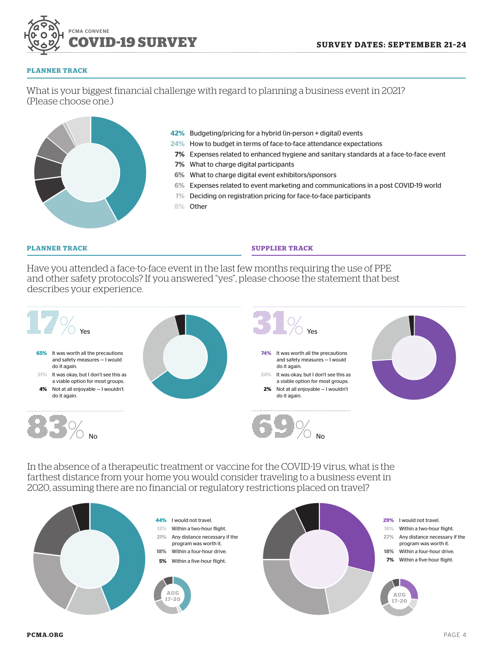

#### **PLANNER TRACK**

What is your biggest financial challenge with regard to planning a business event in 2021? (Please choose one.)



- **42%** Budgeting/pricing for a hybrid (in-person + digital) events
- **24%** How to budget in terms of face-to-face attendance expectations
- **7%** Expenses related to enhanced hygiene and sanitary standards at a face-to-face event
- **7%** What to charge digital participants
- **6%** What to charge digital event exhibitors/sponsors
- **6%** Expenses related to event marketing and communications in a post COVID-19 world
- **1%** Deciding on registration pricing for face-to-face participants
- **8%** Other

## **PLANNER TRACK SUPPLIER TRACK**

Have you attended a face-to-face event in the last few months requiring the use of PPE and other safety protocols? If you answered "yes", please choose the statement that best describes your experience.



In the absence of a therapeutic treatment or vaccine for the COVID-19 virus, what is the farthest distance from your home you would consider traveling to a business event in 2020, assuming there are no financial or regulatory restrictions placed on travel?

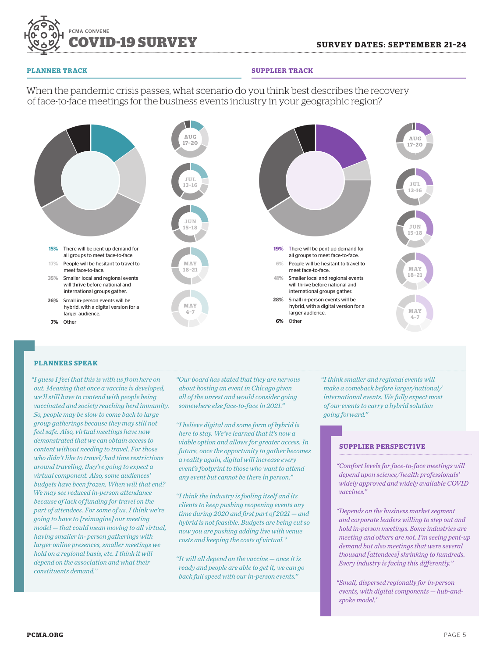

#### **PLANNER TRACK SUPPLIER TRACK**

When the pandemic crisis passes, what scenario do you think best describes the recovery of face-to-face meetings for the business events industry in your geographic region?



## **PLANNERS SPEAK**

*"I guess I feel that this is with us from here on out. Meaning that once a vaccine is developed, we'll still have to contend with people being vaccinated and society reaching herd immunity. So, people may be slow to come back to large group gatherings because they may still not feel safe. Also, virtual meetings have now demonstrated that we can obtain access to content without needing to travel. For those who didn't like to travel/had time restrictions around traveling, they're going to expect a virtual component. Also, some audiences' budgets have been frozen. When will that end? We may see reduced in-person attendance because of lack of funding for travel on the part of attendees. For some of us, I think we're going to have to [reimagine] our meeting model — that could mean moving to all virtual, having smaller in- person gatherings with larger online presences, smaller meetings we hold on a regional basis, etc. I think it will depend on the association and what their constituents demand."*

*"Our board has stated that they are nervous about hosting an event in Chicago given all of the unrest and would consider going somewhere else face-to-face in 2021."*

*"I believe digital and some form of hybrid is here to stay. We've learned that it's now a viable option and allows for greater access. In future, once the opportunity to gather becomes a reality again, digital will increase every event's footprint to those who want to attend any event but cannot be there in person."*

*"I think the industry is fooling itself and its clients to keep pushing reopening events any time during 2020 and first part of 2021 — and hybrid is not feasible. Budgets are being cut so now you are pushing adding live with venue costs and keeping the costs of virtual."*

*"It will all depend on the vaccine — once it is ready and people are able to get it, we can go back full speed with our in-person events."*

*"I think smaller and regional events will make a comeback before larger/national/ international events. We fully expect most of our events to carry a hybrid solution going forward."* 

## **SUPPLIER PERSPECTIVE**

*"Comfort levels for face-to-face meetings will depend upon science/health professionals' widely approved and widely available COVID vaccines."*

- *"Depends on the business market segment and corporate leaders willing to step out and hold in-person meetings. Some industries are meeting and others are not. I'm seeing pent-up demand but also meetings that were several thousand [attendees] shrinking to hundreds. Every industry is facing this differently."*
- *"Small, dispersed regionally for in-person events, with digital components — hub-andspoke model."*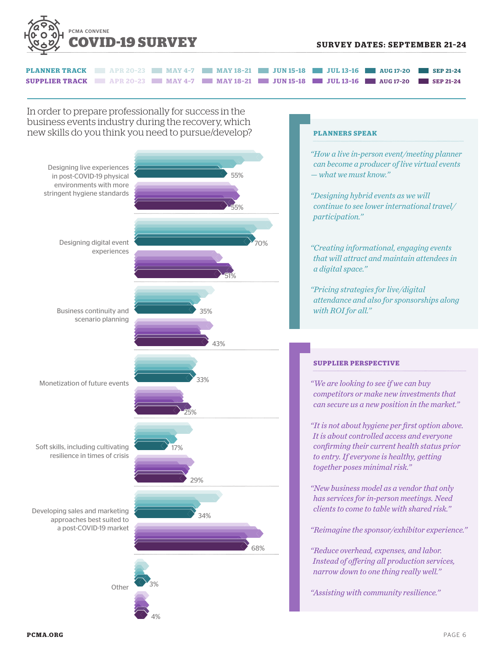

| <b>PLANNER TRACK APR 20-23 MAY 4-7 MAY 18-21 JUN 15-18 JUL 13-16 AUG 17-20 SEP 21-24</b>  |  |  |  |
|-------------------------------------------------------------------------------------------|--|--|--|
| <b>SUPPLIER TRACK APR 20-23 MAY 4-7 MAY 18-21 JUN 15-18 JUL 13-16 AUG 17-20 SEP 21-24</b> |  |  |  |

In order to prepare professionally for success in the business events industry during the recovery, which new skills do you think you need to pursue/develop? **PLANNERS SPEAK**